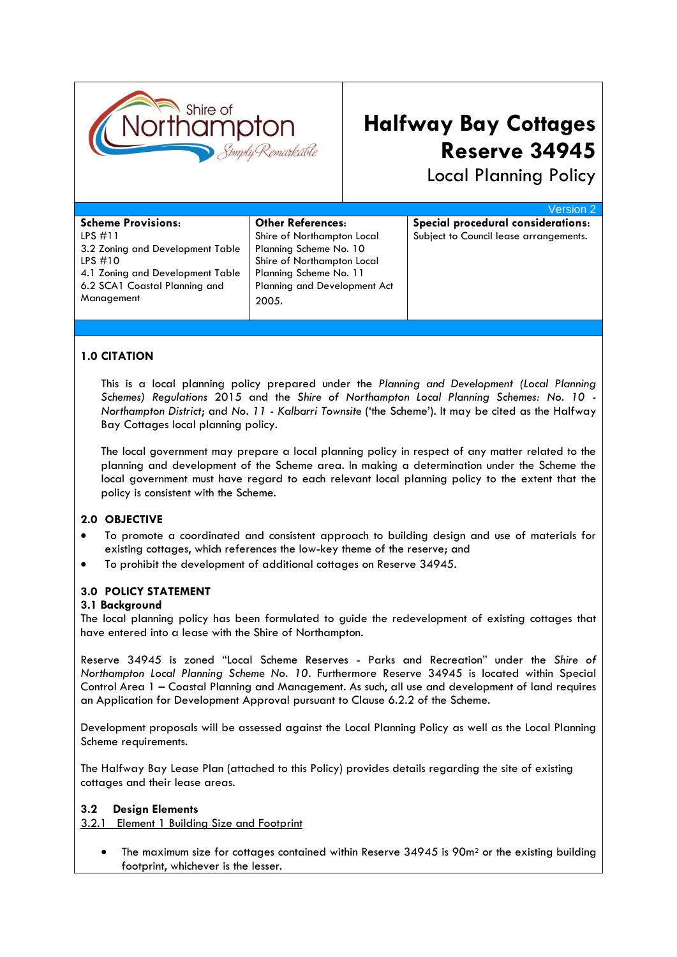

# **Halfway Bay Cottages Reserve 34945**

Local Planning Policy

|                                  |                                     | Version 2                              |
|----------------------------------|-------------------------------------|----------------------------------------|
| <b>Scheme Provisions:</b>        | <b>Other References:</b>            | Special procedural considerations:     |
| $LPS$ #11                        | Shire of Northampton Local          | Subject to Council lease arrangements. |
| 3.2 Zoning and Development Table | Planning Scheme No. 10              |                                        |
| LPS $#10$                        | Shire of Northampton Local          |                                        |
| 4.1 Zoning and Development Table | Planning Scheme No. 11              |                                        |
| 6.2 SCA1 Coastal Planning and    | <b>Planning and Development Act</b> |                                        |
| Management                       | 2005.                               |                                        |
|                                  |                                     |                                        |
|                                  |                                     |                                        |

### **1.0 CITATION**

This is a local planning policy prepared under the *Planning and Development (Local Planning Schemes) Regulations* 2015 and the *Shire of Northampton Local Planning Schemes: No. 10 - Northampton District*; and *No. 11 - Kalbarri Townsite* ('the Scheme'). It may be cited as the Halfway Bay Cottages local planning policy.

The local government may prepare a local planning policy in respect of any matter related to the planning and development of the Scheme area. In making a determination under the Scheme the local government must have regard to each relevant local planning policy to the extent that the policy is consistent with the Scheme.

#### **2.0 OBJECTIVE**

- To promote a coordinated and consistent approach to building design and use of materials for existing cottages, which references the low-key theme of the reserve; and
- To prohibit the development of additional cottages on Reserve 34945.

#### **3.0 POLICY STATEMENT**

#### **3.1 Background**

The local planning policy has been formulated to guide the redevelopment of existing cottages that have entered into a lease with the Shire of Northampton.

Reserve 34945 is zoned "Local Scheme Reserves - Parks and Recreation" under the *Shire of Northampton Local Planning Scheme No. 10*. Furthermore Reserve 34945 is located within Special Control Area 1 – Coastal Planning and Management. As such, all use and development of land requires an Application for Development Approval pursuant to Clause 6.2.2 of the Scheme.

Development proposals will be assessed against the Local Planning Policy as well as the Local Planning Scheme requirements.

The Halfway Bay Lease Plan (attached to this Policy) provides details regarding the site of existing cottages and their lease areas.

#### **3.2 Design Elements**

#### 3.2.1 Element 1 Building Size and Footprint

The maximum size for cottages contained within Reserve  $34945$  is  $90m<sup>2</sup>$  or the existing building footprint, whichever is the lesser.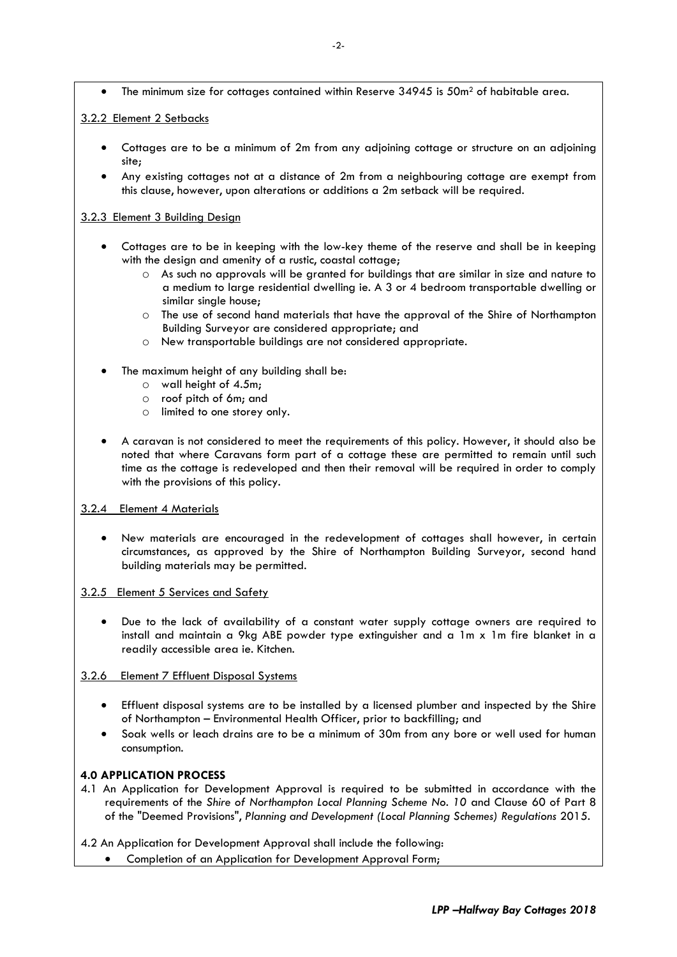• The minimum size for cottages contained within Reserve 34945 is 50m<sup>2</sup> of habitable area.

#### 3.2.2 Element 2 Setbacks

- Cottages are to be a minimum of 2m from any adjoining cottage or structure on an adjoining site;
- Any existing cottages not at a distance of 2m from a neighbouring cottage are exempt from this clause, however, upon alterations or additions a 2m setback will be required.

#### 3.2.3 Element 3 Building Design

- Cottages are to be in keeping with the low-key theme of the reserve and shall be in keeping with the design and amenity of a rustic, coastal cottage;
	- $\circ$  As such no approvals will be granted for buildings that are similar in size and nature to a medium to large residential dwelling ie. A 3 or 4 bedroom transportable dwelling or similar single house;
	- o The use of second hand materials that have the approval of the Shire of Northampton Building Surveyor are considered appropriate; and
	- o New transportable buildings are not considered appropriate.
- The maximum height of any building shall be:
	- o wall height of 4.5m;
	- o roof pitch of 6m; and
	- o limited to one storey only.
- A caravan is not considered to meet the requirements of this policy. However, it should also be noted that where Caravans form part of a cottage these are permitted to remain until such time as the cottage is redeveloped and then their removal will be required in order to comply with the provisions of this policy.
- 3.2.4 Element 4 Materials
	- New materials are encouraged in the redevelopment of cottages shall however, in certain circumstances, as approved by the Shire of Northampton Building Surveyor, second hand building materials may be permitted.
- 3.2.5 Element 5 Services and Safety
	- Due to the lack of availability of a constant water supply cottage owners are required to install and maintain a 9kg ABE powder type extinguisher and a 1m x 1m fire blanket in a readily accessible area ie. Kitchen.
- 3.2.6 Element 7 Effluent Disposal Systems
	- Effluent disposal systems are to be installed by a licensed plumber and inspected by the Shire of Northampton – Environmental Health Officer, prior to backfilling; and
	- Soak wells or leach drains are to be a minimum of 30m from any bore or well used for human consumption.

## **4.0 APPLICATION PROCESS**

4.1 An Application for Development Approval is required to be submitted in accordance with the requirements of the *Shire of Northampton Local Planning Scheme No. 10* and Clause 60 of Part 8 of the "Deemed Provisions", *Planning and Development (Local Planning Schemes) Regulations* 2015.

4.2 An Application for Development Approval shall include the following:

• Completion of an Application for Development Approval Form;